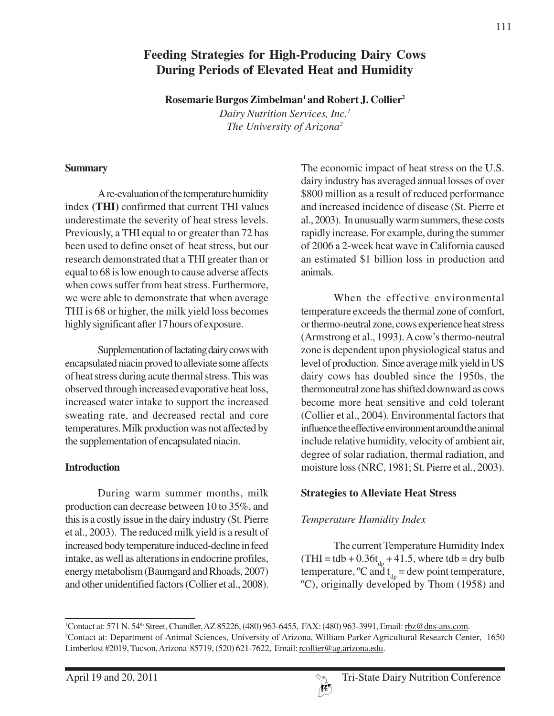## **Feeding Strategies for High-Producing Dairy Cows During Periods of Elevated Heat and Humidity**

**Rosemarie Burgos Zimbelman1 and Robert J. Collier2**

*Dairy Nutrition Services, Inc.1 The University of Arizona2*

#### **Summary**

A re-evaluation of the temperature humidity index **(THI)** confirmed that current THI values underestimate the severity of heat stress levels. Previously, a THI equal to or greater than 72 has been used to define onset of heat stress, but our research demonstrated that a THI greater than or equal to 68 is low enough to cause adverse affects when cows suffer from heat stress. Furthermore, we were able to demonstrate that when average THI is 68 or higher, the milk yield loss becomes highly significant after 17 hours of exposure.

Supplementation of lactating dairy cows with encapsulated niacin proved to alleviate some affects of heat stress during acute thermal stress. This was observed through increased evaporative heat loss, increased water intake to support the increased sweating rate, and decreased rectal and core temperatures. Milk production was not affected by the supplementation of encapsulated niacin.

#### **Introduction**

During warm summer months, milk production can decrease between 10 to 35%, and this is a costly issue in the dairy industry (St. Pierre et al., 2003). The reduced milk yield is a result of increased body temperature induced-decline in feed intake, as well as alterations in endocrine profiles, energy metabolism (Baumgard and Rhoads, 2007) and other unidentified factors (Collier et al., 2008).

The economic impact of heat stress on the U.S. dairy industry has averaged annual losses of over \$800 million as a result of reduced performance and increased incidence of disease (St. Pierre et al., 2003). In unusually warm summers, these costs rapidly increase. For example, during the summer of 2006 a 2-week heat wave in California caused an estimated \$1 billion loss in production and animals.

When the effective environmental temperature exceeds the thermal zone of comfort, or thermo-neutral zone, cows experience heat stress (Armstrong et al., 1993). A cow's thermo-neutral zone is dependent upon physiological status and level of production. Since average milk yield in US dairy cows has doubled since the 1950s, the thermoneutral zone has shifted downward as cows become more heat sensitive and cold tolerant (Collier et al., 2004). Environmental factors that influence the effective environment around the animal include relative humidity, velocity of ambient air, degree of solar radiation, thermal radiation, and moisture loss (NRC, 1981; St. Pierre et al., 2003).

### **Strategies to Alleviate Heat Stress**

## *Temperature Humidity Index*

The current Temperature Humidity Index (THI = tdb +  $0.36t_{dp} + 41.5$ , where tdb = dry bulb temperature,  $\degree$ C and t<sub>dp</sub> = dew point temperature, ºC), originally developed by Thom (1958) and

<sup>&</sup>lt;sup>1</sup>Contact at: 571 N. 54<sup>th</sup> Street, Chandler, AZ 85226, (480) 963-6455, FAX: (480) 963-3991, Email: <u>rbz@dns-ans.com</u>. 2 Contact at: Department of Animal Sciences, University of Arizona, William Parker Agricultural Research Center, 1650 Limberlost #2019, Tucson, Arizona 85719, (520) 621-7622, Email: rcollier@ag.arizona.edu.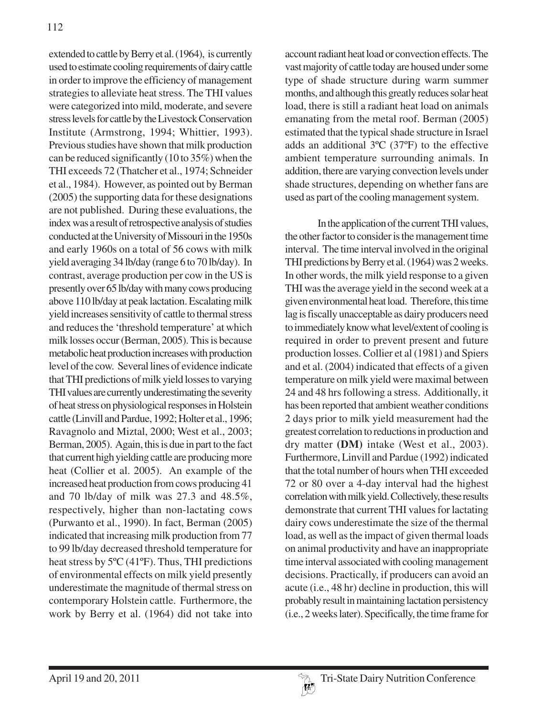extended to cattle by Berry et al. (1964), is currently used to estimate cooling requirements of dairy cattle in order to improve the efficiency of management strategies to alleviate heat stress. The THI values were categorized into mild, moderate, and severe stress levels for cattle by the Livestock Conservation Institute (Armstrong, 1994; Whittier, 1993). Previous studies have shown that milk production can be reduced significantly (10 to 35%) when the THI exceeds 72 (Thatcher et al., 1974; Schneider et al., 1984). However, as pointed out by Berman (2005) the supporting data for these designations are not published. During these evaluations, the index was a result of retrospective analysis of studies conducted at the University of Missouri in the 1950s and early 1960s on a total of 56 cows with milk yield averaging 34 lb/day (range 6 to 70 lb/day). In contrast, average production per cow in the US is presently over 65 lb/day with many cows producing above 110 lb/day at peak lactation. Escalating milk yield increases sensitivity of cattle to thermal stress and reduces the 'threshold temperature' at which milk losses occur (Berman, 2005). This is because metabolic heat production increases with production level of the cow. Several lines of evidence indicate that THI predictions of milk yield losses to varying THI values are currently underestimating the severity of heat stress on physiological responses in Holstein cattle (Linvill and Pardue, 1992; Holter et al., 1996; Ravagnolo and Miztal, 2000; West et al., 2003; Berman, 2005). Again, this is due in part to the fact that current high yielding cattle are producing more heat (Collier et al. 2005). An example of the increased heat production from cows producing 41 and 70 lb/day of milk was 27.3 and 48.5%, respectively, higher than non-lactating cows (Purwanto et al., 1990). In fact, Berman (2005) indicated that increasing milk production from 77 to 99 lb/day decreased threshold temperature for heat stress by 5ºC (41ºF). Thus, THI predictions of environmental effects on milk yield presently underestimate the magnitude of thermal stress on contemporary Holstein cattle. Furthermore, the work by Berry et al. (1964) did not take into

account radiant heat load or convection effects. The vast majority of cattle today are housed under some type of shade structure during warm summer months, and although this greatly reduces solar heat load, there is still a radiant heat load on animals emanating from the metal roof. Berman (2005) estimated that the typical shade structure in Israel adds an additional 3ºC (37ºF) to the effective ambient temperature surrounding animals. In addition, there are varying convection levels under shade structures, depending on whether fans are used as part of the cooling management system.

In the application of the current THI values, the other factor to consider is the management time interval. The time interval involved in the original THI predictions by Berry et al. (1964) was 2 weeks. In other words, the milk yield response to a given THI was the average yield in the second week at a given environmental heat load. Therefore, this time lag is fiscally unacceptable as dairy producers need to immediately know what level/extent of cooling is required in order to prevent present and future production losses. Collier et al (1981) and Spiers and et al. (2004) indicated that effects of a given temperature on milk yield were maximal between 24 and 48 hrs following a stress. Additionally, it has been reported that ambient weather conditions 2 days prior to milk yield measurement had the greatest correlation to reductions in production and dry matter **(DM)** intake (West et al., 2003). Furthermore, Linvill and Pardue (1992) indicated that the total number of hours when THI exceeded 72 or 80 over a 4-day interval had the highest correlation with milk yield. Collectively, these results demonstrate that current THI values for lactating dairy cows underestimate the size of the thermal load, as well as the impact of given thermal loads on animal productivity and have an inappropriate time interval associated with cooling management decisions. Practically, if producers can avoid an acute (i.e., 48 hr) decline in production, this will probably result in maintaining lactation persistency (i.e., 2 weeks later). Specifically, the time frame for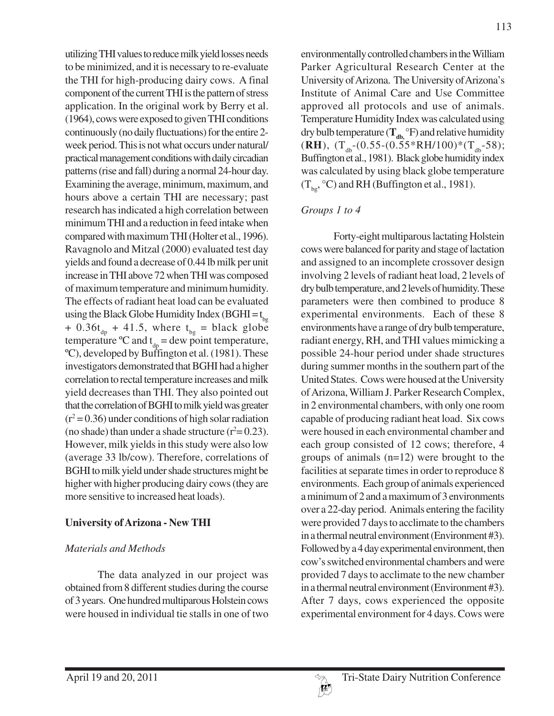utilizing THI values to reduce milk yield losses needs to be minimized, and it is necessary to re-evaluate the THI for high-producing dairy cows. A final component of the current THI is the pattern of stress application. In the original work by Berry et al. (1964), cows were exposed to given THI conditions continuously (no daily fluctuations) for the entire 2 week period. This is not what occurs under natural/ practical management conditions with daily circadian patterns (rise and fall) during a normal 24-hour day. Examining the average, minimum, maximum, and hours above a certain THI are necessary; past research has indicated a high correlation between minimum THI and a reduction in feed intake when compared with maximum THI (Holter et al., 1996). Ravagnolo and Mitzal (2000) evaluated test day yields and found a decrease of 0.44 lb milk per unit increase in THI above 72 when THI was composed of maximum temperature and minimum humidity. The effects of radiant heat load can be evaluated using the Black Globe Humidity Index (BGHI =  $t_{\text{ho}}$ ) +  $0.36t_{dp}$  + 41.5, where  $t_{bg}$  = black globe temperature  $\degree{\text{C}}$  and  $t_{dp} = \text{dew}$  point temperature, ºC), developed by Buffington et al. (1981). These investigators demonstrated that BGHI had a higher correlation to rectal temperature increases and milk yield decreases than THI. They also pointed out that the correlation of BGHI to milk yield was greater  $(r^2 = 0.36)$  under conditions of high solar radiation (no shade) than under a shade structure  $(r^2 = 0.23)$ . However, milk yields in this study were also low (average 33 lb/cow). Therefore, correlations of BGHI to milk yield under shade structures might be higher with higher producing dairy cows (they are more sensitive to increased heat loads).

### **University of Arizona - New THI**

### *Materials and Methods*

The data analyzed in our project was obtained from 8 different studies during the course of 3 years. One hundred multiparous Holstein cows were housed in individual tie stalls in one of two environmentally controlled chambers in the William Parker Agricultural Research Center at the University of Arizona. The University of Arizona's Institute of Animal Care and Use Committee approved all protocols and use of animals. Temperature Humidity Index was calculated using dry bulb temperature  $(T_{db,}^{\text{o}}F)$  and relative humidity  $(RH)$ ,  $(T_{db}-(0.55-(0.55*RH/100)*(T_{db}-58))$ ; Buffington et al., 1981). Black globe humidity index was calculated by using black globe temperature  $(T_{\text{ho}}$ , °C) and RH (Buffington et al., 1981).

# *Groups 1 to 4*

Forty-eight multiparous lactating Holstein cows were balanced for parity and stage of lactation and assigned to an incomplete crossover design involving 2 levels of radiant heat load, 2 levels of dry bulb temperature, and 2 levels of humidity. These parameters were then combined to produce 8 experimental environments. Each of these 8 environments have a range of dry bulb temperature, radiant energy, RH, and THI values mimicking a possible 24-hour period under shade structures during summer months in the southern part of the United States. Cows were housed at the University of Arizona, William J. Parker Research Complex, in 2 environmental chambers, with only one room capable of producing radiant heat load. Six cows were housed in each environmental chamber and each group consisted of 12 cows; therefore, 4 groups of animals (n=12) were brought to the facilities at separate times in order to reproduce 8 environments. Each group of animals experienced a minimum of 2 and a maximum of 3 environments over a 22-day period. Animals entering the facility were provided 7 days to acclimate to the chambers in a thermal neutral environment (Environment #3). Followed by a 4 day experimental environment, then cow's switched environmental chambers and were provided 7 days to acclimate to the new chamber in a thermal neutral environment (Environment #3). After 7 days, cows experienced the opposite experimental environment for 4 days. Cows were

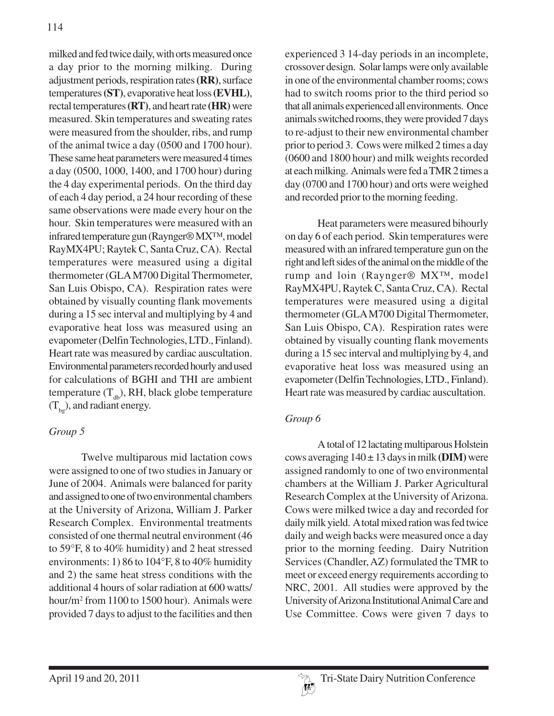milked and fed twice daily, with orts measured once a day prior to the morning milking. During adjustment periods, respiration rates **(RR)**, surface temperatures **(ST)**, evaporative heat loss **(EVHL)**, rectal temperatures **(RT)**, and heart rate **(HR)** were measured. Skin temperatures and sweating rates were measured from the shoulder, ribs, and rump of the animal twice a day (0500 and 1700 hour). These same heat parameters were measured 4 times a day (0500, 1000, 1400, and 1700 hour) during the 4 day experimental periods. On the third day of each 4 day period, a 24 hour recording of these same observations were made every hour on the hour. Skin temperatures were measured with an infrared temperature gun (Raynger® MX™, model RayMX4PU; Raytek C, Santa Cruz, CA). Rectal temperatures were measured using a digital thermometer (GLA M700 Digital Thermometer, San Luis Obispo, CA). Respiration rates were obtained by visually counting flank movements during a 15 sec interval and multiplying by 4 and evaporative heat loss was measured using an evapometer (Delfin Technologies, LTD., Finland). Heart rate was measured by cardiac auscultation. Environmental parameters recorded hourly and used for calculations of BGHI and THI are ambient temperature  $(T_{db})$ , RH, black globe temperature  $(T_{\text{bg}})$ , and radiant energy.

### *Group 5*

Twelve multiparous mid lactation cows were assigned to one of two studies in January or June of 2004. Animals were balanced for parity and assigned to one of two environmental chambers at the University of Arizona, William J. Parker Research Complex. Environmental treatments consisted of one thermal neutral environment (46 to 59°F, 8 to 40% humidity) and 2 heat stressed environments: 1) 86 to 104°F, 8 to 40% humidity and 2) the same heat stress conditions with the additional 4 hours of solar radiation at 600 watts/ hour/m2 from 1100 to 1500 hour). Animals were provided 7 days to adjust to the facilities and then experienced 3 14-day periods in an incomplete, crossover design. Solar lamps were only available in one of the environmental chamber rooms; cows had to switch rooms prior to the third period so that all animals experienced all environments. Once animals switched rooms, they were provided 7 days to re-adjust to their new environmental chamber prior to period 3. Cows were milked 2 times a day (0600 and 1800 hour) and milk weights recorded at each milking. Animals were fed a TMR 2 times a day (0700 and 1700 hour) and orts were weighed and recorded prior to the morning feeding.

Heat parameters were measured bihourly on day 6 of each period. Skin temperatures were measured with an infrared temperature gun on the right and left sides of the animal on the middle of the rump and loin (Raynger® MX™, model RayMX4PU, Raytek C, Santa Cruz, CA). Rectal temperatures were measured using a digital thermometer (GLA M700 Digital Thermometer, San Luis Obispo, CA). Respiration rates were obtained by visually counting flank movements during a 15 sec interval and multiplying by 4, and evaporative heat loss was measured using an evapometer (Delfin Technologies, LTD., Finland). Heart rate was measured by cardiac auscultation.

### *Group 6*

A total of 12 lactating multiparous Holstein cows averaging  $140 \pm 13$  days in milk **(DIM)** were assigned randomly to one of two environmental chambers at the William J. Parker Agricultural Research Complex at the University of Arizona. Cows were milked twice a day and recorded for daily milk yield. A total mixed ration was fed twice daily and weigh backs were measured once a day prior to the morning feeding. Dairy Nutrition Services (Chandler, AZ) formulated the TMR to meet or exceed energy requirements according to NRC, 2001. All studies were approved by the University of Arizona Institutional Animal Care and Use Committee. Cows were given 7 days to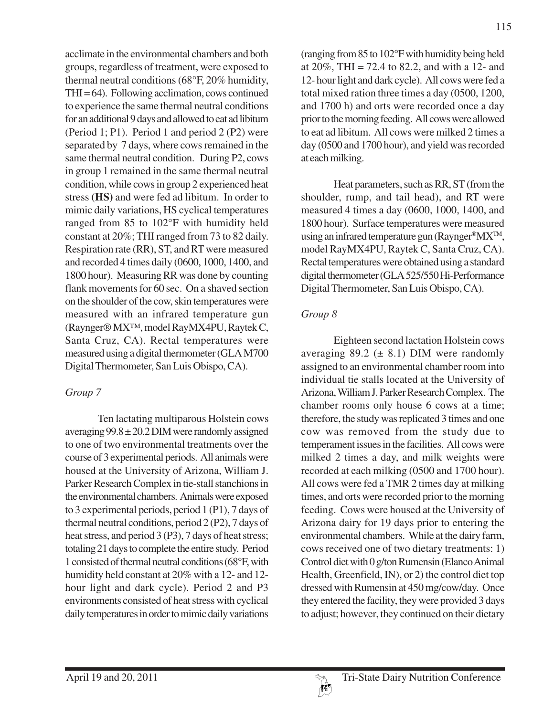acclimate in the environmental chambers and both groups, regardless of treatment, were exposed to thermal neutral conditions (68°F, 20% humidity,  $THI = 64$ . Following acclimation, cows continued to experience the same thermal neutral conditions for an additional 9 days and allowed to eat ad libitum (Period 1; P1). Period 1 and period 2 (P2) were separated by 7 days, where cows remained in the same thermal neutral condition. During P2, cows in group 1 remained in the same thermal neutral condition, while cows in group 2 experienced heat stress **(HS)** and were fed ad libitum. In order to mimic daily variations, HS cyclical temperatures ranged from 85 to 102°F with humidity held constant at 20%; THI ranged from 73 to 82 daily. Respiration rate (RR), ST, and RT were measured and recorded 4 times daily (0600, 1000, 1400, and 1800 hour). Measuring RR was done by counting flank movements for 60 sec. On a shaved section on the shoulder of the cow, skin temperatures were measured with an infrared temperature gun (Raynger® MX™, model RayMX4PU, Raytek C, Santa Cruz, CA). Rectal temperatures were measured using a digital thermometer (GLA M700 Digital Thermometer, San Luis Obispo, CA).

## *Group 7*

Ten lactating multiparous Holstein cows averaging  $99.8 \pm 20.2$  DIM were randomly assigned to one of two environmental treatments over the course of 3 experimental periods. All animals were housed at the University of Arizona, William J. Parker Research Complex in tie-stall stanchions in the environmental chambers. Animals were exposed to 3 experimental periods, period 1 (P1), 7 days of thermal neutral conditions, period 2 (P2), 7 days of heat stress, and period 3 (P3), 7 days of heat stress; totaling 21 days to complete the entire study. Period 1 consisted of thermal neutral conditions (68°F, with humidity held constant at 20% with a 12- and 12 hour light and dark cycle). Period 2 and P3 environments consisted of heat stress with cyclical daily temperatures in order to mimic daily variations

(ranging from 85 to 102°F with humidity being held at  $20\%$ , THI = 72.4 to 82.2, and with a 12- and 12- hour light and dark cycle). All cows were fed a total mixed ration three times a day (0500, 1200, and 1700 h) and orts were recorded once a day prior to the morning feeding. All cows were allowed to eat ad libitum. All cows were milked 2 times a day (0500 and 1700 hour), and yield was recorded at each milking.

Heat parameters, such as RR, ST (from the shoulder, rump, and tail head), and RT were measured 4 times a day (0600, 1000, 1400, and 1800 hour). Surface temperatures were measured using an infrared temperature gun (Raynger®MXTM, model RayMX4PU, Raytek C, Santa Cruz, CA). Rectal temperatures were obtained using a standard digital thermometer (GLA 525/550 Hi-Performance Digital Thermometer, San Luis Obispo, CA).

# *Group 8*

Eighteen second lactation Holstein cows averaging 89.2 ( $\pm$  8.1) DIM were randomly assigned to an environmental chamber room into individual tie stalls located at the University of Arizona, William J. Parker Research Complex. The chamber rooms only house 6 cows at a time; therefore, the study was replicated 3 times and one cow was removed from the study due to temperament issues in the facilities. All cows were milked 2 times a day, and milk weights were recorded at each milking (0500 and 1700 hour). All cows were fed a TMR 2 times day at milking times, and orts were recorded prior to the morning feeding. Cows were housed at the University of Arizona dairy for 19 days prior to entering the environmental chambers. While at the dairy farm, cows received one of two dietary treatments: 1) Control diet with 0 g/ton Rumensin (Elanco Animal Health, Greenfield, IN), or 2) the control diet top dressed with Rumensin at 450 mg/cow/day. Once they entered the facility, they were provided 3 days to adjust; however, they continued on their dietary

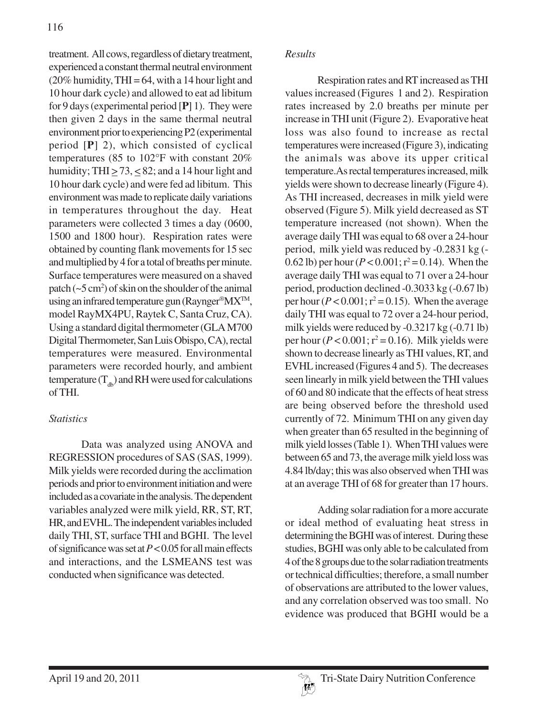treatment. All cows, regardless of dietary treatment, experienced a constant thermal neutral environment  $(20\%$  humidity, THI = 64, with a 14 hour light and 10 hour dark cycle) and allowed to eat ad libitum for 9 days (experimental period [**P**] 1). They were then given 2 days in the same thermal neutral environment prior to experiencing P2 (experimental period [**P**] 2), which consisted of cyclical temperatures (85 to 102°F with constant 20% humidity; THI  $\geq$  73,  $\leq$  82; and a 14 hour light and 10 hour dark cycle) and were fed ad libitum. This environment was made to replicate daily variations in temperatures throughout the day. Heat parameters were collected 3 times a day (0600, 1500 and 1800 hour). Respiration rates were obtained by counting flank movements for 15 sec and multiplied by 4 for a total of breaths per minute. Surface temperatures were measured on a shaved patch  $({\sim}5\,\mathrm{cm}^2)$  of skin on the shoulder of the animal using an infrared temperature gun (Raynger®MX<sup>™</sup>, model RayMX4PU, Raytek C, Santa Cruz, CA). Using a standard digital thermometer (GLA M700 Digital Thermometer, San Luis Obispo, CA), rectal temperatures were measured. Environmental parameters were recorded hourly, and ambient temperature  $(T_{db})$  and RH were used for calculations of THI.

## *Statistics*

Data was analyzed using ANOVA and REGRESSION procedures of SAS (SAS, 1999). Milk yields were recorded during the acclimation periods and prior to environment initiation and were included as a covariate in the analysis.The dependent variables analyzed were milk yield, RR, ST, RT, HR, and EVHL. The independent variables included daily THI, ST, surface THI and BGHI. The level of significance was set at *P* < 0.05 for all main effects and interactions, and the LSMEANS test was conducted when significance was detected.

### *Results*

Respiration rates and RT increased as THI values increased (Figures 1 and 2). Respiration rates increased by 2.0 breaths per minute per increase in THI unit (Figure 2). Evaporative heat loss was also found to increase as rectal temperatures were increased (Figure 3), indicating the animals was above its upper critical temperature.As rectal temperatures increased, milk yields were shown to decrease linearly (Figure 4). As THI increased, decreases in milk yield were observed (Figure 5). Milk yield decreased as ST temperature increased (not shown). When the average daily THI was equal to 68 over a 24-hour period, milk yield was reduced by -0.2831 kg (- 0.62 lb) per hour ( $P < 0.001$ ;  $r^2 = 0.14$ ). When the average daily THI was equal to 71 over a 24-hour period, production declined -0.3033 kg (-0.67 lb) per hour  $(P < 0.001; r^2 = 0.15)$ . When the average daily THI was equal to 72 over a 24-hour period, milk yields were reduced by -0.3217 kg (-0.71 lb) per hour  $(P < 0.001; r^2 = 0.16)$ . Milk yields were shown to decrease linearly as THI values, RT, and EVHL increased (Figures 4 and 5). The decreases seen linearly in milk yield between the THI values of 60 and 80 indicate that the effects of heat stress are being observed before the threshold used currently of 72. Minimum THI on any given day when greater than 65 resulted in the beginning of milk yield losses (Table 1). When THI values were between 65 and 73, the average milk yield loss was 4.84 lb/day; this was also observed when THI was at an average THI of 68 for greater than 17 hours.

Adding solar radiation for a more accurate or ideal method of evaluating heat stress in determining the BGHI was of interest. During these studies, BGHI was only able to be calculated from 4 of the 8 groups due to the solar radiation treatments or technical difficulties; therefore, a small number of observations are attributed to the lower values, and any correlation observed was too small. No evidence was produced that BGHI would be a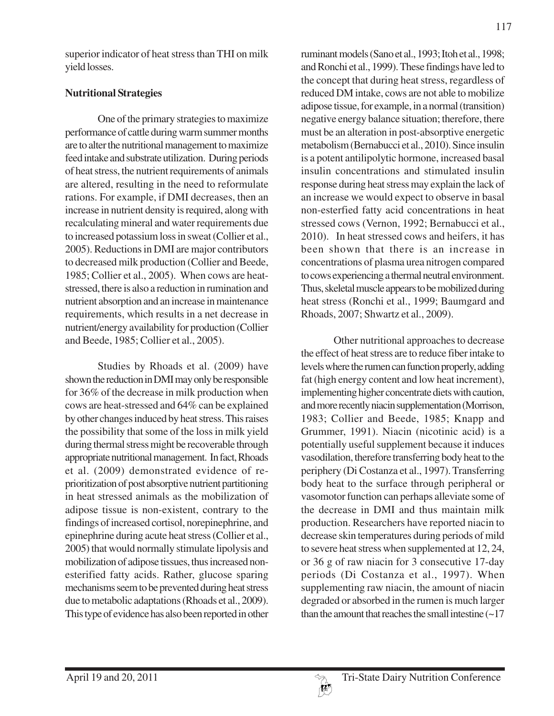superior indicator of heat stress than THI on milk yield losses.

### **Nutritional Strategies**

One of the primary strategies to maximize performance of cattle during warm summer months are to alter the nutritional management to maximize feed intake and substrate utilization. During periods of heat stress, the nutrient requirements of animals are altered, resulting in the need to reformulate rations. For example, if DMI decreases, then an increase in nutrient density is required, along with recalculating mineral and water requirements due to increased potassium loss in sweat (Collier et al., 2005). Reductions in DMI are major contributors to decreased milk production (Collier and Beede, 1985; Collier et al., 2005). When cows are heatstressed, there is also a reduction in rumination and nutrient absorption and an increase in maintenance requirements, which results in a net decrease in nutrient/energy availability for production (Collier and Beede, 1985; Collier et al., 2005).

Studies by Rhoads et al. (2009) have shown the reduction in DMI may only be responsible for 36% of the decrease in milk production when cows are heat-stressed and 64% can be explained by other changes induced by heat stress. This raises the possibility that some of the loss in milk yield during thermal stress might be recoverable through appropriate nutritional management. In fact, Rhoads et al. (2009) demonstrated evidence of reprioritization of post absorptive nutrient partitioning in heat stressed animals as the mobilization of adipose tissue is non-existent, contrary to the findings of increased cortisol, norepinephrine, and epinephrine during acute heat stress (Collier et al., 2005) that would normally stimulate lipolysis and mobilization of adipose tissues, thus increased nonesterified fatty acids. Rather, glucose sparing mechanisms seem to be prevented during heat stress due to metabolic adaptations (Rhoads et al., 2009). This type of evidence has also been reported in other

ruminant models (Sano et al., 1993; Itoh et al., 1998; and Ronchi et al., 1999). These findings have led to the concept that during heat stress, regardless of reduced DM intake, cows are not able to mobilize adipose tissue, for example, in a normal (transition) negative energy balance situation; therefore, there must be an alteration in post-absorptive energetic metabolism (Bernabucci et al., 2010). Since insulin is a potent antilipolytic hormone, increased basal insulin concentrations and stimulated insulin response during heat stress may explain the lack of an increase we would expect to observe in basal non-esterfied fatty acid concentrations in heat stressed cows (Vernon, 1992; Bernabucci et al., 2010). In heat stressed cows and heifers, it has been shown that there is an increase in concentrations of plasma urea nitrogen compared to cows experiencing a thermal neutral environment. Thus, skeletal muscle appears to be mobilized during heat stress (Ronchi et al., 1999; Baumgard and Rhoads, 2007; Shwartz et al., 2009).

Other nutritional approaches to decrease the effect of heat stress are to reduce fiber intake to levels where the rumen can function properly, adding fat (high energy content and low heat increment), implementing higher concentrate diets with caution, and more recently niacin supplementation (Morrison, 1983; Collier and Beede, 1985; Knapp and Grummer, 1991). Niacin (nicotinic acid) is a potentially useful supplement because it induces vasodilation, therefore transferring body heat to the periphery (Di Costanza et al., 1997). Transferring body heat to the surface through peripheral or vasomotor function can perhaps alleviate some of the decrease in DMI and thus maintain milk production. Researchers have reported niacin to decrease skin temperatures during periods of mild to severe heat stress when supplemented at 12, 24, or 36 g of raw niacin for 3 consecutive 17-day periods (Di Costanza et al., 1997). When supplementing raw niacin, the amount of niacin degraded or absorbed in the rumen is much larger than the amount that reaches the small intestine  $(\sim 17)$ 

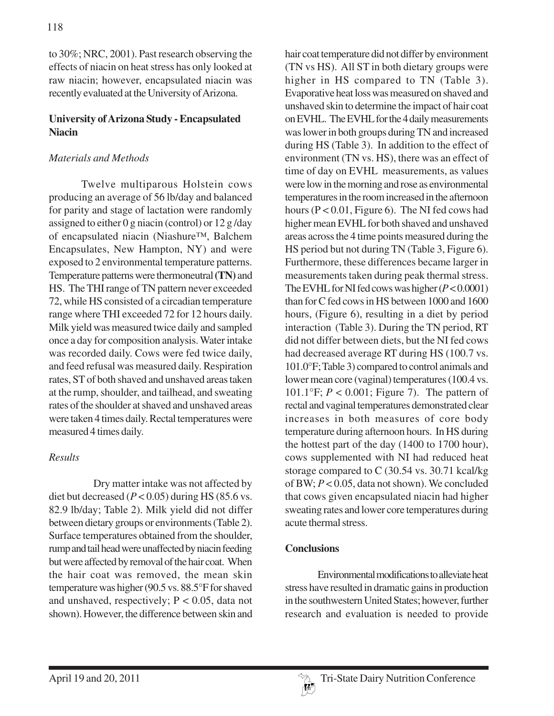to 30%; NRC, 2001). Past research observing the effects of niacin on heat stress has only looked at raw niacin; however, encapsulated niacin was recently evaluated at the University of Arizona.

#### **University of Arizona Study - Encapsulated Niacin**

### *Materials and Methods*

Twelve multiparous Holstein cows producing an average of 56 lb/day and balanced for parity and stage of lactation were randomly assigned to either 0 g niacin (control) or 12 g /day of encapsulated niacin (Niashure™, Balchem Encapsulates, New Hampton, NY) and were exposed to 2 environmental temperature patterns. Temperature patterns were thermoneutral **(TN)** and HS. The THI range of TN pattern never exceeded 72, while HS consisted of a circadian temperature range where THI exceeded 72 for 12 hours daily. Milk yield was measured twice daily and sampled once a day for composition analysis. Water intake was recorded daily. Cows were fed twice daily, and feed refusal was measured daily. Respiration rates, ST of both shaved and unshaved areas taken at the rump, shoulder, and tailhead, and sweating rates of the shoulder at shaved and unshaved areas were taken 4 times daily. Rectal temperatures were measured 4 times daily.

### *Results*

 Dry matter intake was not affected by diet but decreased  $(P < 0.05)$  during HS (85.6 vs. 82.9 lb/day; Table 2). Milk yield did not differ between dietary groups or environments (Table 2). Surface temperatures obtained from the shoulder, rump and tail head were unaffected by niacin feeding but were affected by removal of the hair coat. When the hair coat was removed, the mean skin temperature was higher (90.5 vs. 88.5°F for shaved and unshaved, respectively;  $P < 0.05$ , data not shown). However, the difference between skin and

hair coat temperature did not differ by environment (TN vs HS). All ST in both dietary groups were higher in HS compared to TN (Table 3). Evaporative heat loss was measured on shaved and unshaved skin to determine the impact of hair coat on EVHL. The EVHL for the 4 daily measurements was lower in both groups during TN and increased during HS (Table 3). In addition to the effect of environment (TN vs. HS), there was an effect of time of day on EVHL measurements, as values were low in the morning and rose as environmental temperatures in the room increased in the afternoon hours (P < 0.01, Figure 6). The NI fed cows had higher mean EVHL for both shaved and unshaved areas across the 4 time points measured during the HS period but not during TN (Table 3, Figure 6). Furthermore, these differences became larger in measurements taken during peak thermal stress. The EVHL for NI fed cows was higher (*P* < 0.0001) than for C fed cows in HS between 1000 and 1600 hours, (Figure 6), resulting in a diet by period interaction (Table 3). During the TN period, RT did not differ between diets, but the NI fed cows had decreased average RT during HS (100.7 vs. 101.0°F; Table 3) compared to control animals and lower mean core (vaginal) temperatures (100.4 vs. 101.1°F; *P* < 0.001; Figure 7). The pattern of rectal and vaginal temperatures demonstrated clear increases in both measures of core body temperature during afternoon hours. In HS during the hottest part of the day (1400 to 1700 hour), cows supplemented with NI had reduced heat storage compared to C (30.54 vs. 30.71 kcal/kg of BW; *P* < 0.05, data not shown). We concluded that cows given encapsulated niacin had higher sweating rates and lower core temperatures during acute thermal stress.

### **Conclusions**

Environmental modifications to alleviate heat stress have resulted in dramatic gains in production in the southwestern United States; however, further research and evaluation is needed to provide

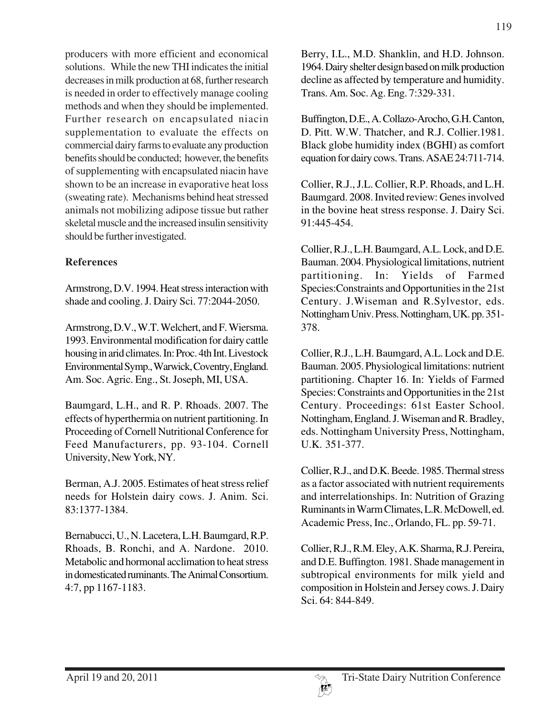producers with more efficient and economical solutions. While the new THI indicates the initial decreases in milk production at 68, further research is needed in order to effectively manage cooling methods and when they should be implemented. Further research on encapsulated niacin supplementation to evaluate the effects on commercial dairy farms to evaluate any production benefits should be conducted; however, the benefits of supplementing with encapsulated niacin have shown to be an increase in evaporative heat loss (sweating rate). Mechanisms behind heat stressed animals not mobilizing adipose tissue but rather skeletal muscle and the increased insulin sensitivity should be further investigated.

### **References**

Armstrong, D.V. 1994. Heat stress interaction with shade and cooling. J. Dairy Sci. 77:2044-2050.

Armstrong, D.V., W.T. Welchert, and F. Wiersma. 1993. Environmental modification for dairy cattle housing in arid climates. In: Proc. 4th Int. Livestock Environmental Symp., Warwick, Coventry, England. Am. Soc. Agric. Eng., St. Joseph, MI, USA.

Baumgard, L.H., and R. P. Rhoads. 2007. The effects of hyperthermia on nutrient partitioning. In Proceeding of Cornell Nutritional Conference for Feed Manufacturers, pp. 93-104. Cornell University, New York, NY.

Berman, A.J. 2005. Estimates of heat stress relief needs for Holstein dairy cows. J. Anim. Sci. 83:1377-1384.

Bernabucci, U., N. Lacetera, L.H. Baumgard, R.P. Rhoads, B. Ronchi, and A. Nardone. 2010. Metabolic and hormonal acclimation to heat stress in domesticated ruminants. The Animal Consortium. 4:7, pp 1167-1183.

Berry, I.L., M.D. Shanklin, and H.D. Johnson. 1964. Dairy shelter design based on milk production decline as affected by temperature and humidity. Trans. Am. Soc. Ag. Eng. 7:329-331.

Buffington, D.E., A. Collazo-Arocho, G.H. Canton, D. Pitt. W.W. Thatcher, and R.J. Collier.1981. Black globe humidity index (BGHI) as comfort equation for dairy cows. Trans. ASAE 24:711-714.

Collier, R.J., J.L. Collier, R.P. Rhoads, and L.H. Baumgard. 2008. Invited review: Genes involved in the bovine heat stress response. J. Dairy Sci. 91:445-454.

Collier, R.J., L.H. Baumgard, A.L. Lock, and D.E. Bauman. 2004. Physiological limitations, nutrient partitioning. In: Yields of Farmed Species:Constraints and Opportunities in the 21st Century. J.Wiseman and R.Sylvestor, eds. Nottingham Univ. Press. Nottingham, UK. pp. 351- 378.

Collier, R.J., L.H. Baumgard, A.L. Lock and D.E. Bauman. 2005. Physiological limitations: nutrient partitioning. Chapter 16. In: Yields of Farmed Species: Constraints and Opportunities in the 21st Century. Proceedings: 61st Easter School. Nottingham, England. J. Wiseman and R. Bradley, eds. Nottingham University Press, Nottingham, U.K. 351-377.

Collier, R.J., and D.K. Beede. 1985. Thermal stress as a factor associated with nutrient requirements and interrelationships. In: Nutrition of Grazing Ruminants in Warm Climates, L.R. McDowell, ed. Academic Press, Inc., Orlando, FL. pp. 59-71.

Collier, R.J., R.M. Eley, A.K. Sharma, R.J. Pereira, and D.E. Buffington. 1981. Shade management in subtropical environments for milk yield and composition in Holstein and Jersey cows. J. Dairy Sci. 64: 844-849.

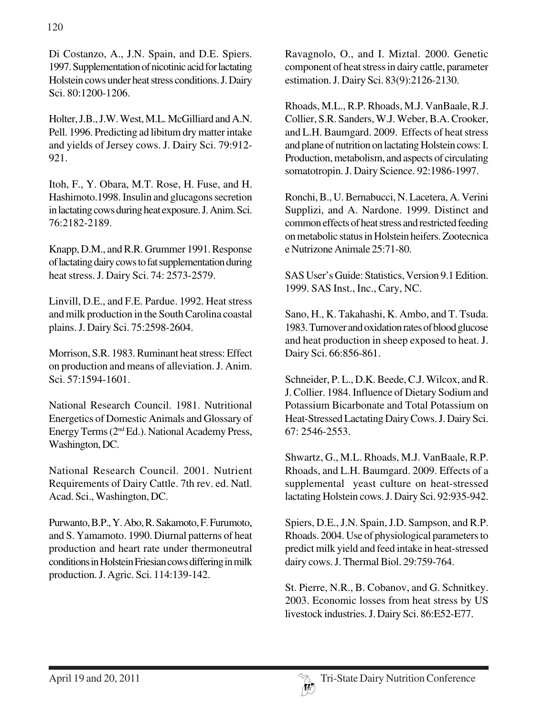Di Costanzo, A., J.N. Spain, and D.E. Spiers. 1997. Supplementation of nicotinic acid for lactating Holstein cows under heat stress conditions. J. Dairy Sci. 80:1200-1206.

Holter, J.B., J.W. West, M.L. McGilliard and A.N. Pell. 1996. Predicting ad libitum dry matter intake and yields of Jersey cows. J. Dairy Sci. 79:912- 921.

Itoh, F., Y. Obara, M.T. Rose, H. Fuse, and H. Hashimoto.1998. Insulin and glucagons secretion in lactating cows during heat exposure. J. Anim. Sci. 76:2182-2189.

Knapp, D.M., and R.R. Grummer 1991. Response of lactating dairy cows to fat supplementation during heat stress. J. Dairy Sci. 74: 2573-2579.

Linvill, D.E., and F.E. Pardue. 1992. Heat stress and milk production in the South Carolina coastal plains. J. Dairy Sci. 75:2598-2604.

Morrison, S.R. 1983. Ruminant heat stress: Effect on production and means of alleviation. J. Anim. Sci. 57:1594-1601.

National Research Council. 1981. Nutritional Energetics of Domestic Animals and Glossary of Energy Terms (2nd Ed.). National Academy Press, Washington, DC.

National Research Council. 2001. Nutrient Requirements of Dairy Cattle. 7th rev. ed. Natl. Acad. Sci., Washington, DC.

Purwanto, B.P., Y. Abo, R. Sakamoto, F. Furumoto, and S. Yamamoto. 1990. Diurnal patterns of heat production and heart rate under thermoneutral conditions in Holstein Friesian cows differing in milk production. J. Agric. Sci. 114:139-142.

Ravagnolo, O., and I. Miztal. 2000. Genetic component of heat stress in dairy cattle, parameter estimation. J. Dairy Sci. 83(9):2126-2130.

Rhoads, M.L., R.P. Rhoads, M.J. VanBaale, R.J. Collier, S.R. Sanders, W.J. Weber, B.A. Crooker, and L.H. Baumgard. 2009. Effects of heat stress and plane of nutrition on lactating Holstein cows: I. Production, metabolism, and aspects of circulating somatotropin. J. Dairy Science. 92:1986-1997.

Ronchi, B., U. Bernabucci, N. Lacetera, A. Verini Supplizi, and A. Nardone. 1999. Distinct and common effects of heat stress and restricted feeding on metabolic status in Holstein heifers. Zootecnica e Nutrizone Animale 25:71-80.

SAS User's Guide: Statistics, Version 9.1 Edition. 1999. SAS Inst., Inc., Cary, NC.

Sano, H., K. Takahashi, K. Ambo, and T. Tsuda. 1983. Turnover and oxidation rates of blood glucose and heat production in sheep exposed to heat. J. Dairy Sci. 66:856-861.

Schneider, P. L., D.K. Beede, C.J. Wilcox, and R. J. Collier. 1984. Influence of Dietary Sodium and Potassium Bicarbonate and Total Potassium on Heat-Stressed Lactating Dairy Cows. J. Dairy Sci. 67: 2546-2553.

Shwartz, G., M.L. Rhoads, M.J. VanBaale, R.P. Rhoads, and L.H. Baumgard. 2009. Effects of a supplemental yeast culture on heat-stressed lactating Holstein cows. J. Dairy Sci. 92:935-942.

Spiers, D.E., J.N. Spain, J.D. Sampson, and R.P. Rhoads. 2004. Use of physiological parameters to predict milk yield and feed intake in heat-stressed dairy cows. J. Thermal Biol. 29:759-764.

St. Pierre, N.R., B. Cobanov, and G. Schnitkey. 2003. Economic losses from heat stress by US livestock industries. J. Dairy Sci. 86:E52-E77.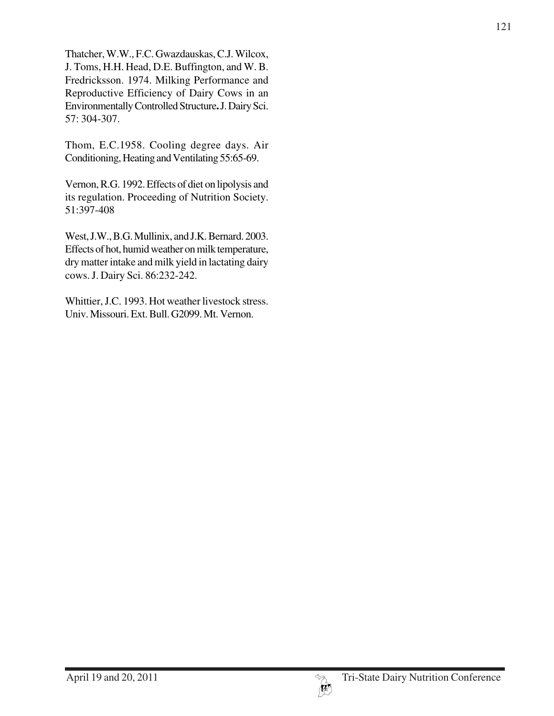Thatcher, W.W., F.C. Gwazdauskas, C.J. Wilcox, J. Toms, H.H. Head, D.E. Buffington, and W. B. Fredricksson. 1974. Milking Performance and Reproductive Efficiency of Dairy Cows in an Environmentally Controlled Structure**.** J. Dairy Sci. 57: 304-307.

Thom, E.C.1958. Cooling degree days. Air Conditioning, Heating and Ventilating 55:65-69.

Vernon, R.G. 1992. Effects of diet on lipolysis and its regulation. Proceeding of Nutrition Society. 51:397-408

West, J.W., B.G. Mullinix, and J.K. Bernard. 2003. Effects of hot, humid weather on milk temperature, dry matter intake and milk yield in lactating dairy cows. J. Dairy Sci. 86:232-242.

Whittier, J.C. 1993. Hot weather livestock stress. Univ. Missouri. Ext. Bull. G2099. Mt. Vernon.

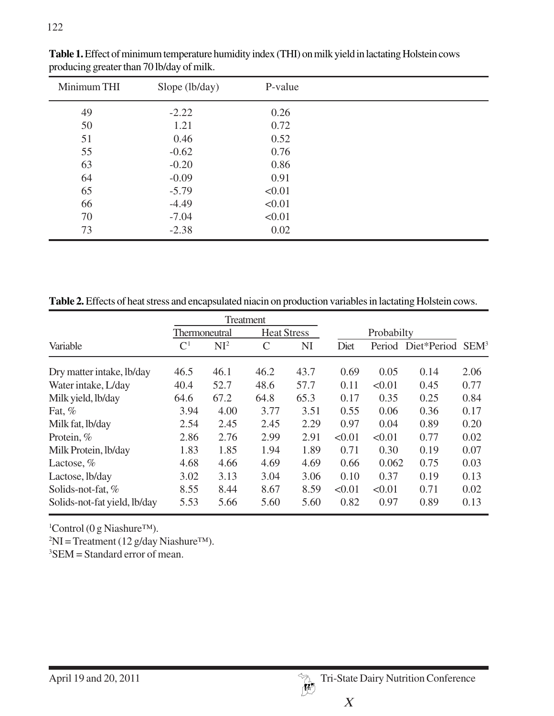| Minimum THI | Slope (lb/day) | P-value |  |
|-------------|----------------|---------|--|
| 49          | $-2.22$        | 0.26    |  |
| 50          | 1.21           | 0.72    |  |
| 51          | 0.46           | 0.52    |  |
| 55          | $-0.62$        | 0.76    |  |
| 63          | $-0.20$        | 0.86    |  |
| 64          | $-0.09$        | 0.91    |  |
| 65          | $-5.79$        | < 0.01  |  |
| 66          | $-4.49$        | < 0.01  |  |
| 70          | $-7.04$        | < 0.01  |  |
| 73          | $-2.38$        | 0.02    |  |

**Table 1.** Effect of minimum temperature humidity index (THI) on milk yield in lactating Holstein cows producing greater than 70 lb/day of milk.

**Table 2.** Effects of heat stress and encapsulated niacin on production variables in lactating Holstein cows.

|                              | Treatment            |                 |                    |      |            |        |                    |                  |
|------------------------------|----------------------|-----------------|--------------------|------|------------|--------|--------------------|------------------|
|                              | <b>Thermoneutral</b> |                 | <b>Heat Stress</b> |      | Probabilty |        |                    |                  |
| Variable                     | $\mathsf{C}^1$       | NI <sup>2</sup> | C                  | NI   | Diet       |        | Period Diet*Period | SEM <sup>3</sup> |
| Dry matter intake, lb/day    | 46.5                 | 46.1            | 46.2               | 43.7 | 0.69       | 0.05   | 0.14               | 2.06             |
| Water intake, L/day          | 40.4                 | 52.7            | 48.6               | 57.7 | 0.11       | < 0.01 | 0.45               | 0.77             |
| Milk yield, lb/day           | 64.6                 | 67.2            | 64.8               | 65.3 | 0.17       | 0.35   | 0.25               | 0.84             |
| Fat, $%$                     | 3.94                 | 4.00            | 3.77               | 3.51 | 0.55       | 0.06   | 0.36               | 0.17             |
| Milk fat, lb/day             | 2.54                 | 2.45            | 2.45               | 2.29 | 0.97       | 0.04   | 0.89               | 0.20             |
| Protein, %                   | 2.86                 | 2.76            | 2.99               | 2.91 | < 0.01     | < 0.01 | 0.77               | 0.02             |
| Milk Protein, lb/day         | 1.83                 | 1.85            | 1.94               | 1.89 | 0.71       | 0.30   | 0.19               | 0.07             |
| Lactose, $%$                 | 4.68                 | 4.66            | 4.69               | 4.69 | 0.66       | 0.062  | 0.75               | 0.03             |
| Lactose, lb/day              | 3.02                 | 3.13            | 3.04               | 3.06 | 0.10       | 0.37   | 0.19               | 0.13             |
| Solids-not-fat, %            | 8.55                 | 8.44            | 8.67               | 8.59 | < 0.01     | < 0.01 | 0.71               | 0.02             |
| Solids-not-fat yield, lb/day | 5.53                 | 5.66            | 5.60               | 5.60 | 0.82       | 0.97   | 0.89               | 0.13             |

1 Control (0 g Niashure™).

 ${}^{2}$ NI = Treatment (12 g/day Niashure<sup>TM</sup>).

3 SEM = Standard error of mean.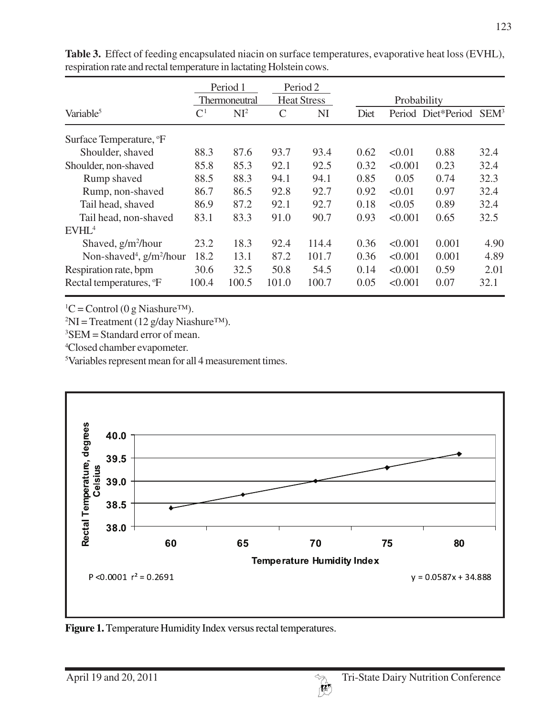|                                         | Period 1<br>Thermoneutral |        | Period 2<br><b>Heat Stress</b> |       | Probability |         |                    |                  |
|-----------------------------------------|---------------------------|--------|--------------------------------|-------|-------------|---------|--------------------|------------------|
| Variable <sup>5</sup>                   | $\mathsf{C}^1$            | $NI^2$ | $\mathcal{C}$                  | NI    | Diet        |         | Period Diet*Period | SEM <sup>3</sup> |
| Surface Temperature, <sup>o</sup> F     |                           |        |                                |       |             |         |                    |                  |
| Shoulder, shaved                        | 88.3                      | 87.6   | 93.7                           | 93.4  | 0.62        | < 0.01  | 0.88               | 32.4             |
| Shoulder, non-shaved                    | 85.8                      | 85.3   | 92.1                           | 92.5  | 0.32        | < 0.001 | 0.23               | 32.4             |
| Rump shaved                             | 88.5                      | 88.3   | 94.1                           | 94.1  | 0.85        | 0.05    | 0.74               | 32.3             |
| Rump, non-shaved                        | 86.7                      | 86.5   | 92.8                           | 92.7  | 0.92        | < 0.01  | 0.97               | 32.4             |
| Tail head, shaved                       | 86.9                      | 87.2   | 92.1                           | 92.7  | 0.18        | < 0.05  | 0.89               | 32.4             |
| Tail head, non-shaved                   | 83.1                      | 83.3   | 91.0                           | 90.7  | 0.93        | < 0.001 | 0.65               | 32.5             |
| EVHL <sup>4</sup>                       |                           |        |                                |       |             |         |                    |                  |
| Shaved, $g/m^2/h$ our                   | 23.2                      | 18.3   | 92.4                           | 114.4 | 0.36        | < 0.001 | 0.001              | 4.90             |
| Non-shaved <sup>4</sup> , $g/m^2/h$ our | 18.2                      | 13.1   | 87.2                           | 101.7 | 0.36        | < 0.001 | 0.001              | 4.89             |
| Respiration rate, bpm                   | 30.6                      | 32.5   | 50.8                           | 54.5  | 0.14        | < 0.001 | 0.59               | 2.01             |
| Rectal temperatures, <sup>o</sup> F     | 100.4                     | 100.5  | 101.0                          | 100.7 | 0.05        | < 0.001 | 0.07               | 32.1             |

**Table 3.** Effect of feeding encapsulated niacin on surface temperatures, evaporative heat loss (EVHL), respiration rate and rectal temperature in lactating Holstein cows.

 ${}^{1}C$  = Control (0 g Niashure<sup>TM</sup>).

 ${}^{2}$ NI = Treatment (12 g/day Niashure<sup>TM</sup>).

3 SEM = Standard error of mean.

4 Closed chamber evapometer.

5 Variables represent mean for all 4 measurement times.



**Figure 1.** Temperature Humidity Index versus rectal temperatures.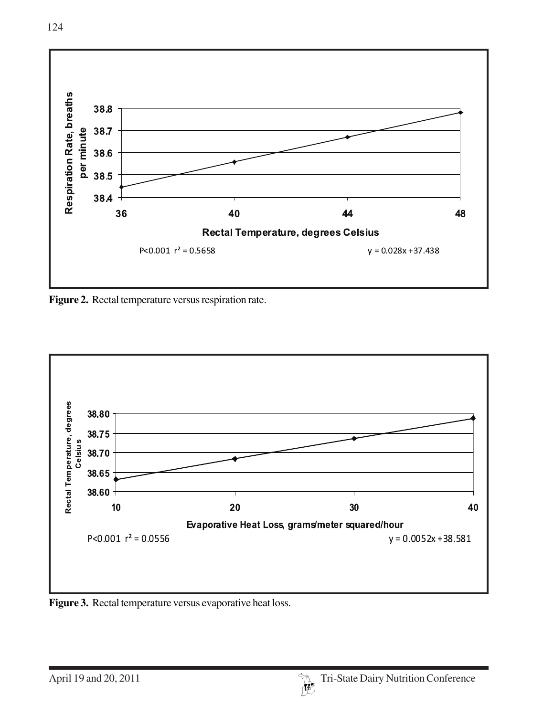

**Figure 2.** Rectal temperature versus respiration rate.



**Figure 3.** Rectal temperature versus evaporative heat loss.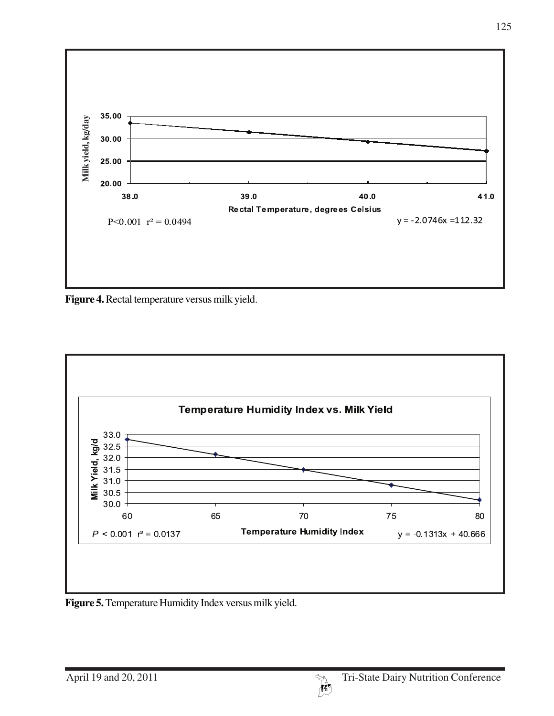

**Figure 4.** Rectal temperature versus milk yield.